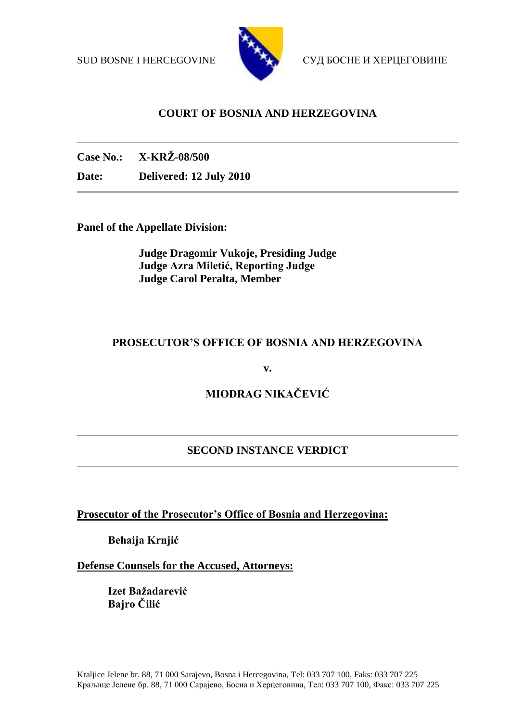

SUD BOSNE I HERCEGOVINE СУД БОСНЕ И ХЕРЦЕГОВИНЕ

# **COURT OF BOSNIA AND HERZEGOVINA**

**Case No.: X-KRŽ-08/500**

**Date: Delivered: 12 July 2010**

**Panel of the Appellate Division:**

**Judge Dragomir Vukoje, Presiding Judge Judge Azra Miletić, Reporting Judge Judge Carol Peralta, Member** 

# **PROSECUTOR'S OFFICE OF BOSNIA AND HERZEGOVINA**

**v.**

# **MIODRAG NIKAČEVIĆ**

# **SECOND INSTANCE VERDICT**

**Prosecutor of the Prosecutor's Office of Bosnia and Herzegovina:**

**Behaija Krnjić**

**Defense Counsels for the Accused, Attorneys:**

**Izet Bažadarević Bajro Čilić**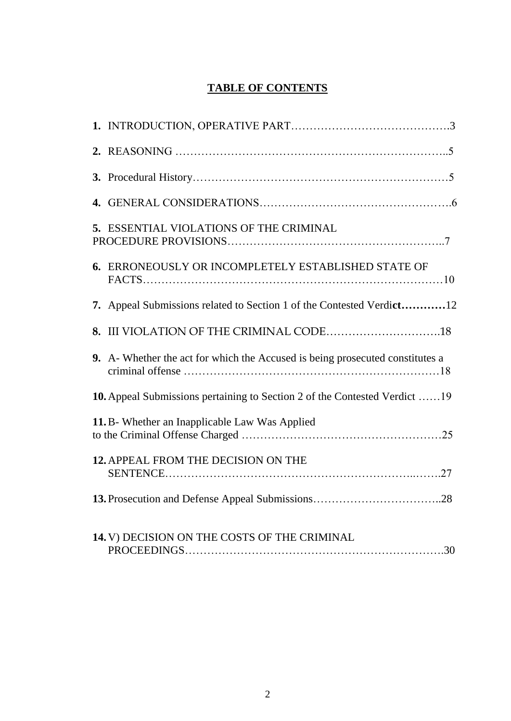# **TABLE OF CONTENTS**

| 5. ESSENTIAL VIOLATIONS OF THE CRIMINAL                                       |  |
|-------------------------------------------------------------------------------|--|
| 6. ERRONEOUSLY OR INCOMPLETELY ESTABLISHED STATE OF                           |  |
| 7. Appeal Submissions related to Section 1 of the Contested Verdict12         |  |
|                                                                               |  |
| 9. A- Whether the act for which the Accused is being prosecuted constitutes a |  |
| 10. Appeal Submissions pertaining to Section 2 of the Contested Verdict  19   |  |
| 11. B- Whether an Inapplicable Law Was Applied                                |  |
| 12. APPEAL FROM THE DECISION ON THE                                           |  |
|                                                                               |  |
| 14. V) DECISION ON THE COSTS OF THE CRIMINAL                                  |  |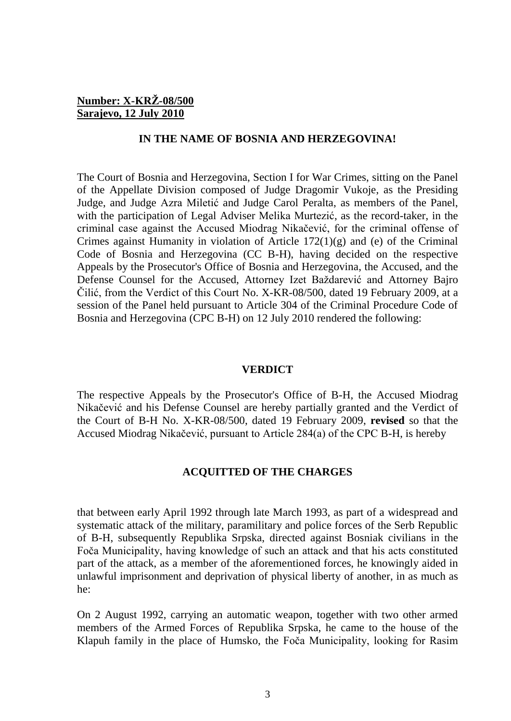#### **Number: X-KRŽ-08/500 Sarajevo, 12 July 2010**

#### **IN THE NAME OF BOSNIA AND HERZEGOVINA!**

The Court of Bosnia and Herzegovina, Section I for War Crimes, sitting on the Panel of the Appellate Division composed of Judge Dragomir Vukoje, as the Presiding Judge, and Judge Azra Miletić and Judge Carol Peralta, as members of the Panel, with the participation of Legal Adviser Melika Murtezić, as the record-taker, in the criminal case against the Accused Miodrag Nikačević, for the criminal offense of Crimes against Humanity in violation of Article 172(1)(g) and (e) of the Criminal Code of Bosnia and Herzegovina (CC B-H), having decided on the respective Appeals by the Prosecutor's Office of Bosnia and Herzegovina, the Accused, and the Defense Counsel for the Accused, Attorney Izet Baždarević and Attorney Bajro Čilić, from the Verdict of this Court No. X-KR-08/500, dated 19 February 2009, at a session of the Panel held pursuant to Article 304 of the Criminal Procedure Code of Bosnia and Herzegovina (CPC B-H) on 12 July 2010 rendered the following:

#### **VERDICT**

The respective Appeals by the Prosecutor's Office of B-H, the Accused Miodrag Nikačević and his Defense Counsel are hereby partially granted and the Verdict of the Court of B-H No. X-KR-08/500, dated 19 February 2009, **revised** so that the Accused Miodrag Nikačević, pursuant to Article 284(a) of the CPC B-H, is hereby

#### **ACQUITTED OF THE CHARGES**

that between early April 1992 through late March 1993, as part of a widespread and systematic attack of the military, paramilitary and police forces of the Serb Republic of B-H, subsequently Republika Srpska, directed against Bosniak civilians in the Foča Municipality, having knowledge of such an attack and that his acts constituted part of the attack, as a member of the aforementioned forces, he knowingly aided in unlawful imprisonment and deprivation of physical liberty of another, in as much as he:

On 2 August 1992, carrying an automatic weapon, together with two other armed members of the Armed Forces of Republika Srpska, he came to the house of the Klapuh family in the place of Humsko, the Foča Municipality, looking for Rasim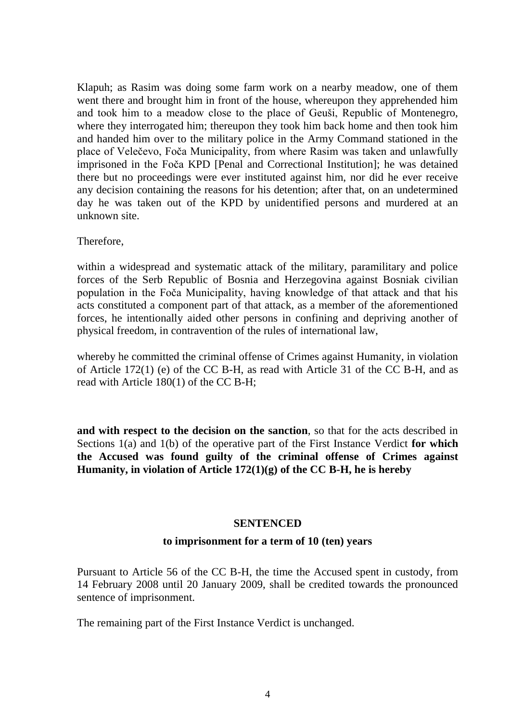Klapuh; as Rasim was doing some farm work on a nearby meadow, one of them went there and brought him in front of the house, whereupon they apprehended him and took him to a meadow close to the place of Geuši, Republic of Montenegro, where they interrogated him; thereupon they took him back home and then took him and handed him over to the military police in the Army Command stationed in the place of Velečevo, Foča Municipality, from where Rasim was taken and unlawfully imprisoned in the Foča KPD [Penal and Correctional Institution]; he was detained there but no proceedings were ever instituted against him, nor did he ever receive any decision containing the reasons for his detention; after that, on an undetermined day he was taken out of the KPD by unidentified persons and murdered at an unknown site.

Therefore,

within a widespread and systematic attack of the military, paramilitary and police forces of the Serb Republic of Bosnia and Herzegovina against Bosniak civilian population in the Foča Municipality, having knowledge of that attack and that his acts constituted a component part of that attack, as a member of the aforementioned forces, he intentionally aided other persons in confining and depriving another of physical freedom, in contravention of the rules of international law,

whereby he committed the criminal offense of Crimes against Humanity, in violation of Article 172(1) (e) of the CC B-H, as read with Article 31 of the CC B-H, and as read with Article 180(1) of the CC B-H;

**and with respect to the decision on the sanction**, so that for the acts described in Sections 1(a) and 1(b) of the operative part of the First Instance Verdict **for which the Accused was found guilty of the criminal offense of Crimes against Humanity, in violation of Article 172(1)(g) of the CC B-H, he is hereby**

#### **SENTENCED**

#### **to imprisonment for a term of 10 (ten) years**

Pursuant to Article 56 of the CC B-H, the time the Accused spent in custody, from 14 February 2008 until 20 January 2009, shall be credited towards the pronounced sentence of imprisonment.

The remaining part of the First Instance Verdict is unchanged.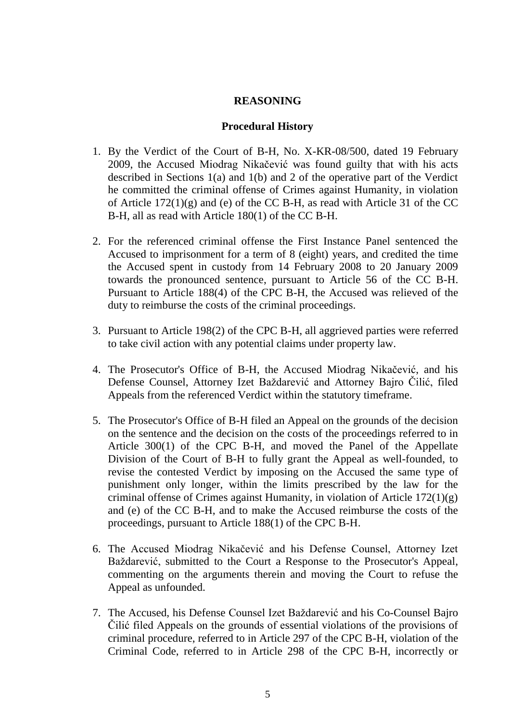### **REASONING**

#### **Procedural History**

- 1. By the Verdict of the Court of B-H, No. X-KR-08/500, dated 19 February 2009, the Accused Miodrag Nikačević was found guilty that with his acts described in Sections 1(a) and 1(b) and 2 of the operative part of the Verdict he committed the criminal offense of Crimes against Humanity, in violation of Article 172(1)(g) and (e) of the CC B-H, as read with Article 31 of the CC B-H, all as read with Article 180(1) of the CC B-H.
- 2. For the referenced criminal offense the First Instance Panel sentenced the Accused to imprisonment for a term of 8 (eight) years, and credited the time the Accused spent in custody from 14 February 2008 to 20 January 2009 towards the pronounced sentence, pursuant to Article 56 of the CC B-H. Pursuant to Article 188(4) of the CPC B-H, the Accused was relieved of the duty to reimburse the costs of the criminal proceedings.
- 3. Pursuant to Article 198(2) of the CPC B-H, all aggrieved parties were referred to take civil action with any potential claims under property law.
- 4. The Prosecutor's Office of B-H, the Accused Miodrag Nikačević, and his Defense Counsel, Attorney Izet Baždarević and Attorney Bajro Čilić, filed Appeals from the referenced Verdict within the statutory timeframe.
- 5. The Prosecutor's Office of B-H filed an Appeal on the grounds of the decision on the sentence and the decision on the costs of the proceedings referred to in Article 300(1) of the CPC B-H, and moved the Panel of the Appellate Division of the Court of B-H to fully grant the Appeal as well-founded, to revise the contested Verdict by imposing on the Accused the same type of punishment only longer, within the limits prescribed by the law for the criminal offense of Crimes against Humanity, in violation of Article  $172(1)(g)$ and (e) of the CC B-H, and to make the Accused reimburse the costs of the proceedings, pursuant to Article 188(1) of the CPC B-H.
- 6. The Accused Miodrag Nikačević and his Defense Counsel, Attorney Izet Baždarević, submitted to the Court a Response to the Prosecutor's Appeal, commenting on the arguments therein and moving the Court to refuse the Appeal as unfounded.
- 7. The Accused, his Defense Counsel Izet Baždarević and his Co-Counsel Bajro Čilić filed Appeals on the grounds of essential violations of the provisions of criminal procedure, referred to in Article 297 of the CPC B-H, violation of the Criminal Code, referred to in Article 298 of the CPC B-H, incorrectly or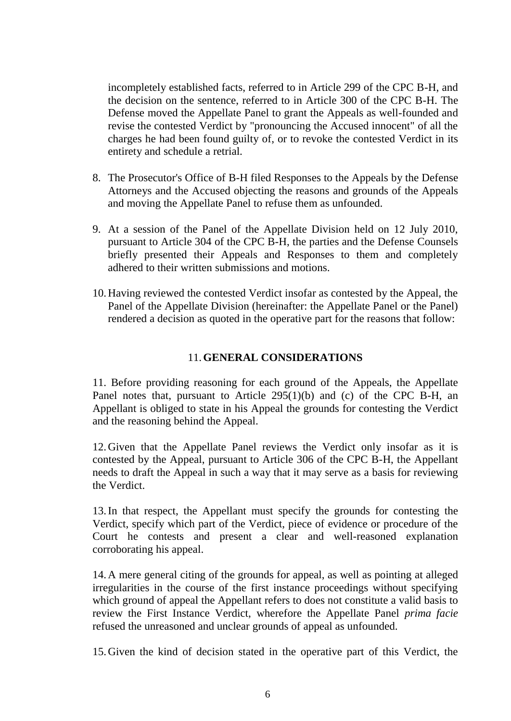incompletely established facts, referred to in Article 299 of the CPC B-H, and the decision on the sentence, referred to in Article 300 of the CPC B-H. The Defense moved the Appellate Panel to grant the Appeals as well-founded and revise the contested Verdict by "pronouncing the Accused innocent" of all the charges he had been found guilty of, or to revoke the contested Verdict in its entirety and schedule a retrial.

- 8. The Prosecutor's Office of B-H filed Responses to the Appeals by the Defense Attorneys and the Accused objecting the reasons and grounds of the Appeals and moving the Appellate Panel to refuse them as unfounded.
- 9. At a session of the Panel of the Appellate Division held on 12 July 2010, pursuant to Article 304 of the CPC B-H, the parties and the Defense Counsels briefly presented their Appeals and Responses to them and completely adhered to their written submissions and motions.
- 10.Having reviewed the contested Verdict insofar as contested by the Appeal, the Panel of the Appellate Division (hereinafter: the Appellate Panel or the Panel) rendered a decision as quoted in the operative part for the reasons that follow:

# 11.**GENERAL CONSIDERATIONS**

11. Before providing reasoning for each ground of the Appeals, the Appellate Panel notes that, pursuant to Article 295(1)(b) and (c) of the CPC B-H, an Appellant is obliged to state in his Appeal the grounds for contesting the Verdict and the reasoning behind the Appeal.

12.Given that the Appellate Panel reviews the Verdict only insofar as it is contested by the Appeal, pursuant to Article 306 of the CPC B-H, the Appellant needs to draft the Appeal in such a way that it may serve as a basis for reviewing the Verdict.

13.In that respect, the Appellant must specify the grounds for contesting the Verdict, specify which part of the Verdict, piece of evidence or procedure of the Court he contests and present a clear and well-reasoned explanation corroborating his appeal.

14.A mere general citing of the grounds for appeal, as well as pointing at alleged irregularities in the course of the first instance proceedings without specifying which ground of appeal the Appellant refers to does not constitute a valid basis to review the First Instance Verdict, wherefore the Appellate Panel *prima facie* refused the unreasoned and unclear grounds of appeal as unfounded.

15.Given the kind of decision stated in the operative part of this Verdict, the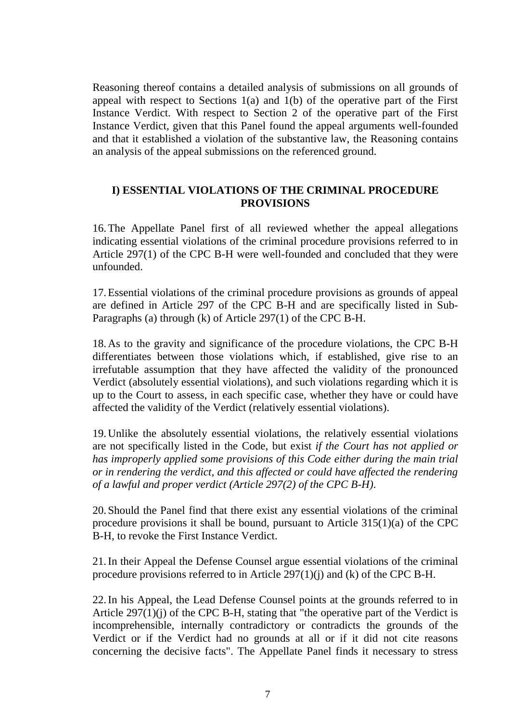Reasoning thereof contains a detailed analysis of submissions on all grounds of appeal with respect to Sections 1(a) and 1(b) of the operative part of the First Instance Verdict. With respect to Section 2 of the operative part of the First Instance Verdict, given that this Panel found the appeal arguments well-founded and that it established a violation of the substantive law, the Reasoning contains an analysis of the appeal submissions on the referenced ground.

### **I) ESSENTIAL VIOLATIONS OF THE CRIMINAL PROCEDURE PROVISIONS**

16.The Appellate Panel first of all reviewed whether the appeal allegations indicating essential violations of the criminal procedure provisions referred to in Article 297(1) of the CPC B-H were well-founded and concluded that they were unfounded.

17.Essential violations of the criminal procedure provisions as grounds of appeal are defined in Article 297 of the CPC B-H and are specifically listed in Sub-Paragraphs (a) through (k) of Article 297(1) of the CPC B-H.

18.As to the gravity and significance of the procedure violations, the CPC B-H differentiates between those violations which, if established, give rise to an irrefutable assumption that they have affected the validity of the pronounced Verdict (absolutely essential violations), and such violations regarding which it is up to the Court to assess, in each specific case, whether they have or could have affected the validity of the Verdict (relatively essential violations).

19.Unlike the absolutely essential violations, the relatively essential violations are not specifically listed in the Code, but exist *if the Court has not applied or has improperly applied some provisions of this Code either during the main trial or in rendering the verdict, and this affected or could have affected the rendering of a lawful and proper verdict (Article 297(2) of the CPC B-H)*.

20.Should the Panel find that there exist any essential violations of the criminal procedure provisions it shall be bound, pursuant to Article 315(1)(a) of the CPC B-H, to revoke the First Instance Verdict.

21.In their Appeal the Defense Counsel argue essential violations of the criminal procedure provisions referred to in Article 297(1)(j) and (k) of the CPC B-H.

22.In his Appeal, the Lead Defense Counsel points at the grounds referred to in Article 297(1)(j) of the CPC B-H, stating that "the operative part of the Verdict is incomprehensible, internally contradictory or contradicts the grounds of the Verdict or if the Verdict had no grounds at all or if it did not cite reasons concerning the decisive facts". The Appellate Panel finds it necessary to stress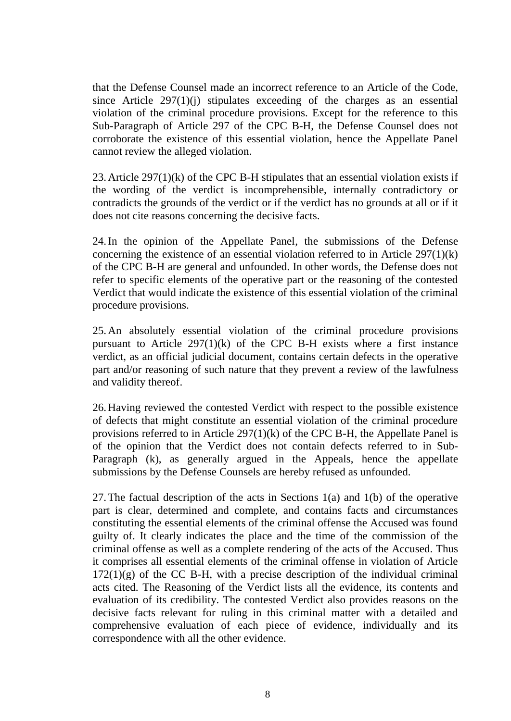that the Defense Counsel made an incorrect reference to an Article of the Code, since Article 297(1)(j) stipulates exceeding of the charges as an essential violation of the criminal procedure provisions. Except for the reference to this Sub-Paragraph of Article 297 of the CPC B-H, the Defense Counsel does not corroborate the existence of this essential violation, hence the Appellate Panel cannot review the alleged violation.

23.Article 297(1)(k) of the CPC B-H stipulates that an essential violation exists if the wording of the verdict is incomprehensible, internally contradictory or contradicts the grounds of the verdict or if the verdict has no grounds at all or if it does not cite reasons concerning the decisive facts.

24.In the opinion of the Appellate Panel, the submissions of the Defense concerning the existence of an essential violation referred to in Article 297(1)(k) of the CPC B-H are general and unfounded. In other words, the Defense does not refer to specific elements of the operative part or the reasoning of the contested Verdict that would indicate the existence of this essential violation of the criminal procedure provisions.

25.An absolutely essential violation of the criminal procedure provisions pursuant to Article  $297(1)(k)$  of the CPC B-H exists where a first instance verdict, as an official judicial document, contains certain defects in the operative part and/or reasoning of such nature that they prevent a review of the lawfulness and validity thereof.

26.Having reviewed the contested Verdict with respect to the possible existence of defects that might constitute an essential violation of the criminal procedure provisions referred to in Article 297(1)(k) of the CPC B-H, the Appellate Panel is of the opinion that the Verdict does not contain defects referred to in Sub-Paragraph (k), as generally argued in the Appeals, hence the appellate submissions by the Defense Counsels are hereby refused as unfounded.

27.The factual description of the acts in Sections 1(a) and 1(b) of the operative part is clear, determined and complete, and contains facts and circumstances constituting the essential elements of the criminal offense the Accused was found guilty of. It clearly indicates the place and the time of the commission of the criminal offense as well as a complete rendering of the acts of the Accused. Thus it comprises all essential elements of the criminal offense in violation of Article  $172(1)(g)$  of the CC B-H, with a precise description of the individual criminal acts cited. The Reasoning of the Verdict lists all the evidence, its contents and evaluation of its credibility. The contested Verdict also provides reasons on the decisive facts relevant for ruling in this criminal matter with a detailed and comprehensive evaluation of each piece of evidence, individually and its correspondence with all the other evidence.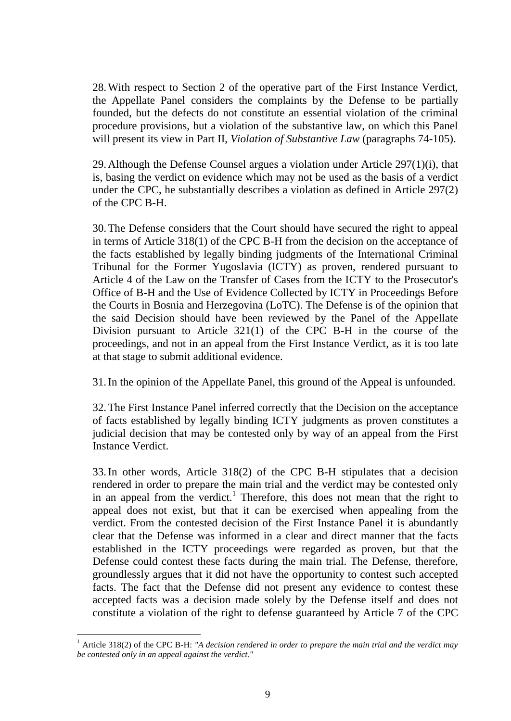28.With respect to Section 2 of the operative part of the First Instance Verdict, the Appellate Panel considers the complaints by the Defense to be partially founded, but the defects do not constitute an essential violation of the criminal procedure provisions, but a violation of the substantive law, on which this Panel will present its view in Part II, *Violation of Substantive Law* (paragraphs 74-105).

29.Although the Defense Counsel argues a violation under Article 297(1)(i), that is, basing the verdict on evidence which may not be used as the basis of a verdict under the CPC, he substantially describes a violation as defined in Article 297(2) of the CPC B-H.

30.The Defense considers that the Court should have secured the right to appeal in terms of Article 318(1) of the CPC B-H from the decision on the acceptance of the facts established by legally binding judgments of the International Criminal Tribunal for the Former Yugoslavia (ICTY) as proven, rendered pursuant to Article 4 of the Law on the Transfer of Cases from the ICTY to the Prosecutor's Office of B-H and the Use of Evidence Collected by ICTY in Proceedings Before the Courts in Bosnia and Herzegovina (LoTC). The Defense is of the opinion that the said Decision should have been reviewed by the Panel of the Appellate Division pursuant to Article 321(1) of the CPC B-H in the course of the proceedings, and not in an appeal from the First Instance Verdict, as it is too late at that stage to submit additional evidence.

31.In the opinion of the Appellate Panel, this ground of the Appeal is unfounded.

32.The First Instance Panel inferred correctly that the Decision on the acceptance of facts established by legally binding ICTY judgments as proven constitutes a judicial decision that may be contested only by way of an appeal from the First Instance Verdict.

33.In other words, Article 318(2) of the CPC B-H stipulates that a decision rendered in order to prepare the main trial and the verdict may be contested only in an appeal from the verdict.<sup>1</sup> Therefore, this does not mean that the right to appeal does not exist, but that it can be exercised when appealing from the verdict. From the contested decision of the First Instance Panel it is abundantly clear that the Defense was informed in a clear and direct manner that the facts established in the ICTY proceedings were regarded as proven, but that the Defense could contest these facts during the main trial. The Defense, therefore, groundlessly argues that it did not have the opportunity to contest such accepted facts. The fact that the Defense did not present any evidence to contest these accepted facts was a decision made solely by the Defense itself and does not constitute a violation of the right to defense guaranteed by Article 7 of the CPC

<sup>&</sup>lt;sup>1</sup> Article 318(2) of the CPC B-H: "A decision rendered in order to prepare the main trial and the verdict may *be contested only in an appeal against the verdict."*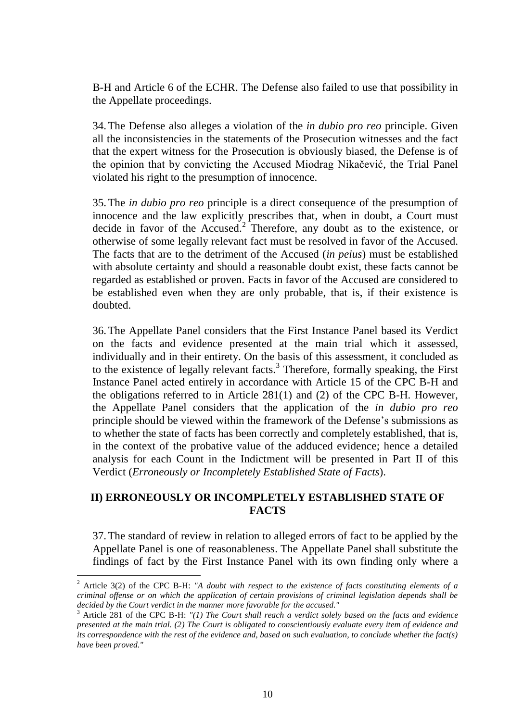B-H and Article 6 of the ECHR. The Defense also failed to use that possibility in the Appellate proceedings.

34.The Defense also alleges a violation of the *in dubio pro reo* principle. Given all the inconsistencies in the statements of the Prosecution witnesses and the fact that the expert witness for the Prosecution is obviously biased, the Defense is of the opinion that by convicting the Accused Miodrag Nikačević, the Trial Panel violated his right to the presumption of innocence.

35.The *in dubio pro reo* principle is a direct consequence of the presumption of innocence and the law explicitly prescribes that, when in doubt, a Court must decide in favor of the  $Accused$ <sup>2</sup>. Therefore, any doubt as to the existence, or otherwise of some legally relevant fact must be resolved in favor of the Accused. The facts that are to the detriment of the Accused (*in peius*) must be established with absolute certainty and should a reasonable doubt exist, these facts cannot be regarded as established or proven. Facts in favor of the Accused are considered to be established even when they are only probable, that is, if their existence is doubted.

36.The Appellate Panel considers that the First Instance Panel based its Verdict on the facts and evidence presented at the main trial which it assessed, individually and in their entirety. On the basis of this assessment, it concluded as to the existence of legally relevant facts.<sup>3</sup> Therefore, formally speaking, the First Instance Panel acted entirely in accordance with Article 15 of the CPC B-H and the obligations referred to in Article 281(1) and (2) of the CPC B-H. However, the Appellate Panel considers that the application of the *in dubio pro reo* principle should be viewed within the framework of the Defense's submissions as to whether the state of facts has been correctly and completely established, that is, in the context of the probative value of the adduced evidence; hence a detailed analysis for each Count in the Indictment will be presented in Part II of this Verdict (*Erroneously or Incompletely Established State of Facts*).

# **II) ERRONEOUSLY OR INCOMPLETELY ESTABLISHED STATE OF FACTS**

37.The standard of review in relation to alleged errors of fact to be applied by the Appellate Panel is one of reasonableness. The Appellate Panel shall substitute the findings of fact by the First Instance Panel with its own finding only where a

<sup>2</sup> Article 3(2) of the CPC B-H: *"A doubt with respect to the existence of facts constituting elements of a criminal offense or on which the application of certain provisions of criminal legislation depends shall be decided by the Court verdict in the manner more favorable for the accused."*

<sup>3</sup> Article 281 of the CPC B-H: *"(1) The Court shall reach a verdict solely based on the facts and evidence presented at the main trial. (2) The Court is obligated to conscientiously evaluate every item of evidence and its correspondence with the rest of the evidence and, based on such evaluation, to conclude whether the fact(s) have been proved."*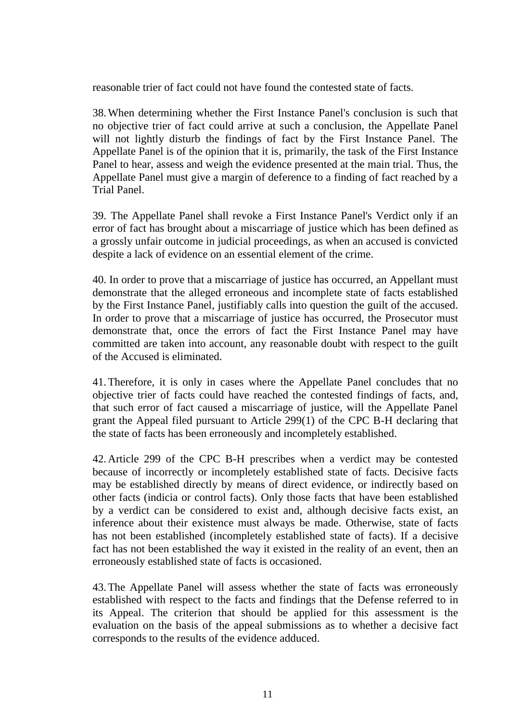reasonable trier of fact could not have found the contested state of facts.

38.When determining whether the First Instance Panel's conclusion is such that no objective trier of fact could arrive at such a conclusion, the Appellate Panel will not lightly disturb the findings of fact by the First Instance Panel. The Appellate Panel is of the opinion that it is, primarily, the task of the First Instance Panel to hear, assess and weigh the evidence presented at the main trial. Thus, the Appellate Panel must give a margin of deference to a finding of fact reached by a Trial Panel.

39. The Appellate Panel shall revoke a First Instance Panel's Verdict only if an error of fact has brought about a miscarriage of justice which has been defined as a grossly unfair outcome in judicial proceedings, as when an accused is convicted despite a lack of evidence on an essential element of the crime.

40. In order to prove that a miscarriage of justice has occurred, an Appellant must demonstrate that the alleged erroneous and incomplete state of facts established by the First Instance Panel, justifiably calls into question the guilt of the accused. In order to prove that a miscarriage of justice has occurred, the Prosecutor must demonstrate that, once the errors of fact the First Instance Panel may have committed are taken into account, any reasonable doubt with respect to the guilt of the Accused is eliminated.

41.Therefore, it is only in cases where the Appellate Panel concludes that no objective trier of facts could have reached the contested findings of facts, and, that such error of fact caused a miscarriage of justice, will the Appellate Panel grant the Appeal filed pursuant to Article 299(1) of the CPC B-H declaring that the state of facts has been erroneously and incompletely established.

42.Article 299 of the CPC B-H prescribes when a verdict may be contested because of incorrectly or incompletely established state of facts. Decisive facts may be established directly by means of direct evidence, or indirectly based on other facts (indicia or control facts). Only those facts that have been established by a verdict can be considered to exist and, although decisive facts exist, an inference about their existence must always be made. Otherwise, state of facts has not been established (incompletely established state of facts). If a decisive fact has not been established the way it existed in the reality of an event, then an erroneously established state of facts is occasioned.

43.The Appellate Panel will assess whether the state of facts was erroneously established with respect to the facts and findings that the Defense referred to in its Appeal. The criterion that should be applied for this assessment is the evaluation on the basis of the appeal submissions as to whether a decisive fact corresponds to the results of the evidence adduced.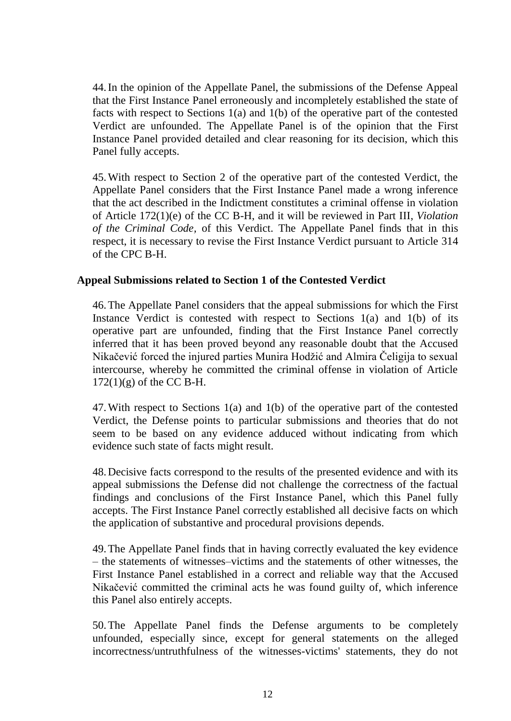44.In the opinion of the Appellate Panel, the submissions of the Defense Appeal that the First Instance Panel erroneously and incompletely established the state of facts with respect to Sections 1(a) and 1(b) of the operative part of the contested Verdict are unfounded. The Appellate Panel is of the opinion that the First Instance Panel provided detailed and clear reasoning for its decision, which this Panel fully accepts.

45.With respect to Section 2 of the operative part of the contested Verdict, the Appellate Panel considers that the First Instance Panel made a wrong inference that the act described in the Indictment constitutes a criminal offense in violation of Article 172(1)(e) of the CC B-H, and it will be reviewed in Part III, *Violation of the Criminal Code,* of this Verdict. The Appellate Panel finds that in this respect, it is necessary to revise the First Instance Verdict pursuant to Article 314 of the CPC B-H.

#### **Appeal Submissions related to Section 1 of the Contested Verdict**

46.The Appellate Panel considers that the appeal submissions for which the First Instance Verdict is contested with respect to Sections  $1(a)$  and  $1(b)$  of its operative part are unfounded, finding that the First Instance Panel correctly inferred that it has been proved beyond any reasonable doubt that the Accused Nikačević forced the injured parties Munira Hodžić and Almira Čeligija to sexual intercourse, whereby he committed the criminal offense in violation of Article  $172(1)(g)$  of the CC B-H.

47.With respect to Sections 1(a) and 1(b) of the operative part of the contested Verdict, the Defense points to particular submissions and theories that do not seem to be based on any evidence adduced without indicating from which evidence such state of facts might result.

48.Decisive facts correspond to the results of the presented evidence and with its appeal submissions the Defense did not challenge the correctness of the factual findings and conclusions of the First Instance Panel, which this Panel fully accepts. The First Instance Panel correctly established all decisive facts on which the application of substantive and procedural provisions depends.

49.The Appellate Panel finds that in having correctly evaluated the key evidence – the statements of witnesses–victims and the statements of other witnesses, the First Instance Panel established in a correct and reliable way that the Accused Nikačević committed the criminal acts he was found guilty of, which inference this Panel also entirely accepts.

50.The Appellate Panel finds the Defense arguments to be completely unfounded, especially since, except for general statements on the alleged incorrectness/untruthfulness of the witnesses-victims' statements, they do not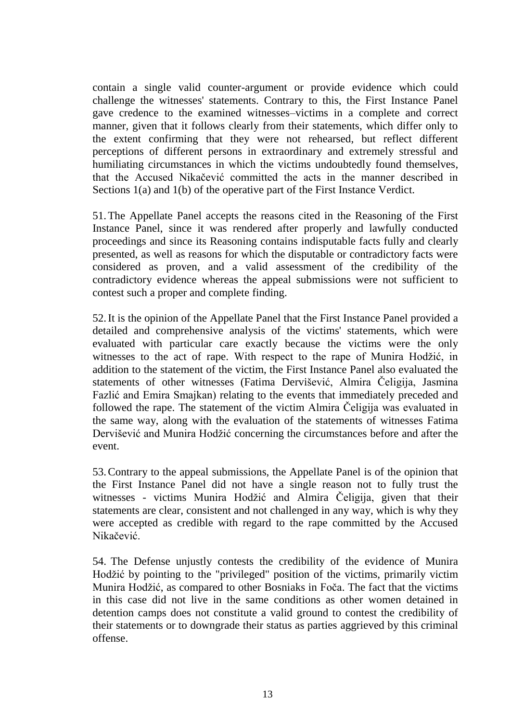contain a single valid counter-argument or provide evidence which could challenge the witnesses' statements. Contrary to this, the First Instance Panel gave credence to the examined witnesses–victims in a complete and correct manner, given that it follows clearly from their statements, which differ only to the extent confirming that they were not rehearsed, but reflect different perceptions of different persons in extraordinary and extremely stressful and humiliating circumstances in which the victims undoubtedly found themselves, that the Accused Nikačević committed the acts in the manner described in Sections 1(a) and 1(b) of the operative part of the First Instance Verdict.

51.The Appellate Panel accepts the reasons cited in the Reasoning of the First Instance Panel, since it was rendered after properly and lawfully conducted proceedings and since its Reasoning contains indisputable facts fully and clearly presented, as well as reasons for which the disputable or contradictory facts were considered as proven, and a valid assessment of the credibility of the contradictory evidence whereas the appeal submissions were not sufficient to contest such a proper and complete finding.

52.It is the opinion of the Appellate Panel that the First Instance Panel provided a detailed and comprehensive analysis of the victims' statements, which were evaluated with particular care exactly because the victims were the only witnesses to the act of rape. With respect to the rape of Munira Hodžić, in addition to the statement of the victim, the First Instance Panel also evaluated the statements of other witnesses (Fatima Dervišević, Almira Čeligija, Jasmina Fazlić and Emira Smajkan) relating to the events that immediately preceded and followed the rape. The statement of the victim Almira Čeligija was evaluated in the same way, along with the evaluation of the statements of witnesses Fatima Dervišević and Munira Hodžić concerning the circumstances before and after the event.

53.Contrary to the appeal submissions, the Appellate Panel is of the opinion that the First Instance Panel did not have a single reason not to fully trust the witnesses - victims Munira Hodžić and Almira Čeligija, given that their statements are clear, consistent and not challenged in any way, which is why they were accepted as credible with regard to the rape committed by the Accused Nikačević.

54. The Defense unjustly contests the credibility of the evidence of Munira Hodžić by pointing to the "privileged" position of the victims, primarily victim Munira Hodžić, as compared to other Bosniaks in Foča. The fact that the victims in this case did not live in the same conditions as other women detained in detention camps does not constitute a valid ground to contest the credibility of their statements or to downgrade their status as parties aggrieved by this criminal offense.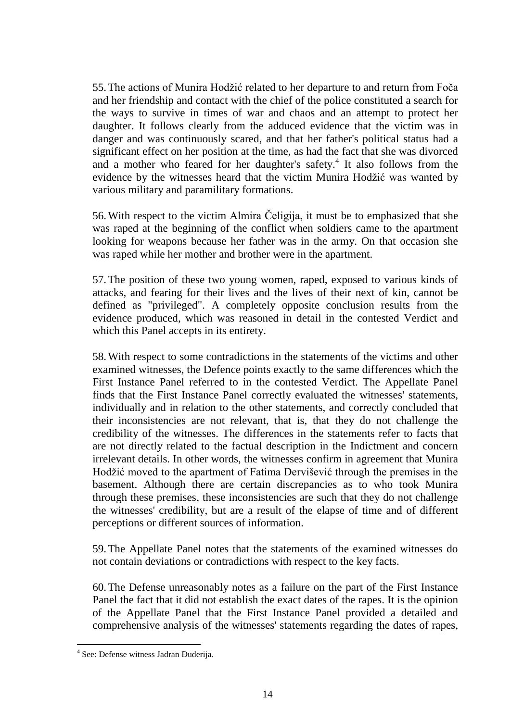55.The actions of Munira Hodžić related to her departure to and return from Foča and her friendship and contact with the chief of the police constituted a search for the ways to survive in times of war and chaos and an attempt to protect her daughter. It follows clearly from the adduced evidence that the victim was in danger and was continuously scared, and that her father's political status had a significant effect on her position at the time, as had the fact that she was divorced and a mother who feared for her daughter's safety. 4 It also follows from the evidence by the witnesses heard that the victim Munira Hodžić was wanted by various military and paramilitary formations.

56.With respect to the victim Almira Čeligija, it must be to emphasized that she was raped at the beginning of the conflict when soldiers came to the apartment looking for weapons because her father was in the army. On that occasion she was raped while her mother and brother were in the apartment.

57.The position of these two young women, raped, exposed to various kinds of attacks, and fearing for their lives and the lives of their next of kin, cannot be defined as "privileged". A completely opposite conclusion results from the evidence produced, which was reasoned in detail in the contested Verdict and which this Panel accepts in its entirety.

58.With respect to some contradictions in the statements of the victims and other examined witnesses, the Defence points exactly to the same differences which the First Instance Panel referred to in the contested Verdict. The Appellate Panel finds that the First Instance Panel correctly evaluated the witnesses' statements, individually and in relation to the other statements, and correctly concluded that their inconsistencies are not relevant, that is, that they do not challenge the credibility of the witnesses. The differences in the statements refer to facts that are not directly related to the factual description in the Indictment and concern irrelevant details. In other words, the witnesses confirm in agreement that Munira Hodžić moved to the apartment of Fatima Dervišević through the premises in the basement. Although there are certain discrepancies as to who took Munira through these premises, these inconsistencies are such that they do not challenge the witnesses' credibility, but are a result of the elapse of time and of different perceptions or different sources of information.

59.The Appellate Panel notes that the statements of the examined witnesses do not contain deviations or contradictions with respect to the key facts.

60.The Defense unreasonably notes as a failure on the part of the First Instance Panel the fact that it did not establish the exact dates of the rapes. It is the opinion of the Appellate Panel that the First Instance Panel provided a detailed and comprehensive analysis of the witnesses' statements regarding the dates of rapes,

 4 See: Defense witness Jadran Đuderija.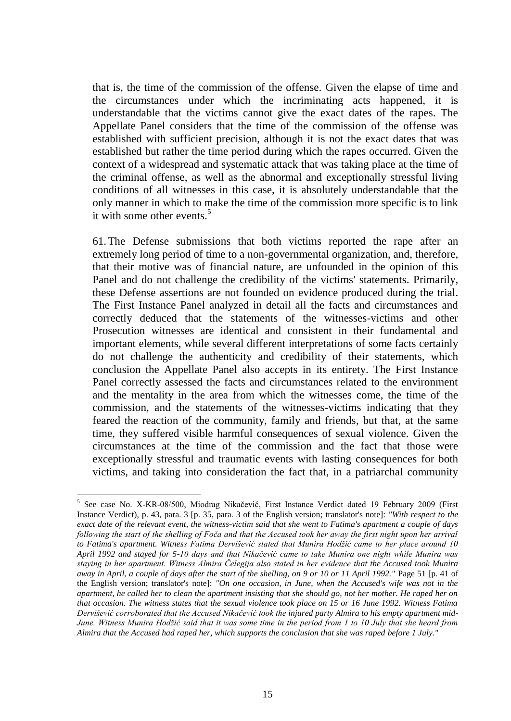that is, the time of the commission of the offense. Given the elapse of time and the circumstances under which the incriminating acts happened, it is understandable that the victims cannot give the exact dates of the rapes. The Appellate Panel considers that the time of the commission of the offense was established with sufficient precision, although it is not the exact dates that was established but rather the time period during which the rapes occurred. Given the context of a widespread and systematic attack that was taking place at the time of the criminal offense, as well as the abnormal and exceptionally stressful living conditions of all witnesses in this case, it is absolutely understandable that the only manner in which to make the time of the commission more specific is to link it with some other events.<sup>5</sup>

61.The Defense submissions that both victims reported the rape after an extremely long period of time to a non-governmental organization, and, therefore, that their motive was of financial nature, are unfounded in the opinion of this Panel and do not challenge the credibility of the victims' statements. Primarily, these Defense assertions are not founded on evidence produced during the trial. The First Instance Panel analyzed in detail all the facts and circumstances and correctly deduced that the statements of the witnesses-victims and other Prosecution witnesses are identical and consistent in their fundamental and important elements, while several different interpretations of some facts certainly do not challenge the authenticity and credibility of their statements, which conclusion the Appellate Panel also accepts in its entirety. The First Instance Panel correctly assessed the facts and circumstances related to the environment and the mentality in the area from which the witnesses come, the time of the commission, and the statements of the witnesses-victims indicating that they feared the reaction of the community, family and friends, but that, at the same time, they suffered visible harmful consequences of sexual violence. Given the circumstances at the time of the commission and the fact that those were exceptionally stressful and traumatic events with lasting consequences for both victims, and taking into consideration the fact that, in a patriarchal community

<sup>&</sup>lt;sup>5</sup> See case No. X-KR-08/500, Miodrag Nikačević, First Instance Verdict dated 19 February 2009 (First Instance Verdict), p. 43, para. 3 [p. 35, para. 3 of the English version; translator's note]: *"With respect to the exact date of the relevant event, the witness-victim said that she went to Fatima's apartment a couple of days following the start of the shelling of Foča and that the Accused took her away the first night upon her arrival to Fatima's apartment. Witness Fatima Dervišević stated that Munira Hodžić came to her place around 10 April 1992 and stayed for 5-10 days and that Nikačević came to take Munira one night while Munira was staying in her apartment. Witness Almira Čelegija also stated in her evidence that the Accused took Munira away in April, a couple of days after the start of the shelling, on 9 or 10 or 11 April 1992."* Page 51 [p. 41 of the English version; translator's note]: *"On one occasion, in June, when the Accused's wife was not in the apartment, he called her to clean the apartment insisting that she should go, not her mother. He raped her on that occasion. The witness states that the sexual violence took place on 15 or 16 June 1992. Witness Fatima Dervišević corroborated that the Accused Nikačević took the injured party Almira to his empty apartment mid-June. Witness Munira Hodžić said that it was some time in the period from 1 to 10 July that she heard from Almira that the Accused had raped her, which supports the conclusion that she was raped before 1 July."*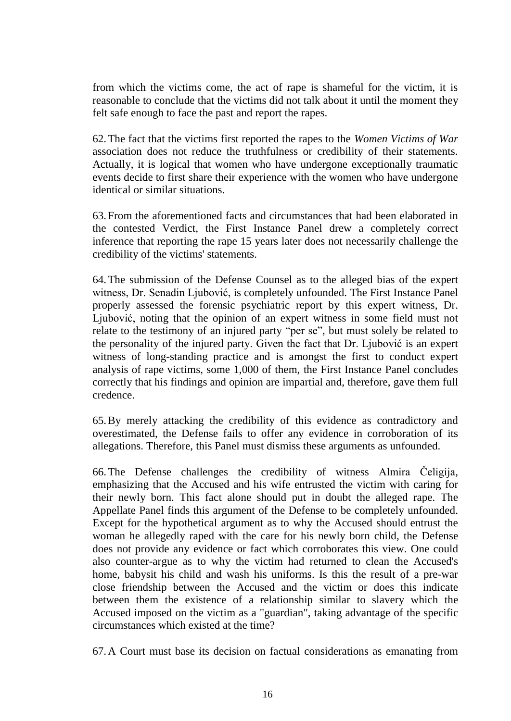from which the victims come, the act of rape is shameful for the victim, it is reasonable to conclude that the victims did not talk about it until the moment they felt safe enough to face the past and report the rapes.

62.The fact that the victims first reported the rapes to the *Women Victims of War* association does not reduce the truthfulness or credibility of their statements. Actually, it is logical that women who have undergone exceptionally traumatic events decide to first share their experience with the women who have undergone identical or similar situations.

63.From the aforementioned facts and circumstances that had been elaborated in the contested Verdict, the First Instance Panel drew a completely correct inference that reporting the rape 15 years later does not necessarily challenge the credibility of the victims' statements.

64.The submission of the Defense Counsel as to the alleged bias of the expert witness, Dr. Senadin Ljubović, is completely unfounded. The First Instance Panel properly assessed the forensic psychiatric report by this expert witness, Dr. Ljubović, noting that the opinion of an expert witness in some field must not relate to the testimony of an injured party "per se", but must solely be related to the personality of the injured party. Given the fact that Dr. Ljubović is an expert witness of long-standing practice and is amongst the first to conduct expert analysis of rape victims, some 1,000 of them, the First Instance Panel concludes correctly that his findings and opinion are impartial and, therefore, gave them full credence.

65.By merely attacking the credibility of this evidence as contradictory and overestimated, the Defense fails to offer any evidence in corroboration of its allegations. Therefore, this Panel must dismiss these arguments as unfounded.

66.The Defense challenges the credibility of witness Almira Čeligija, emphasizing that the Accused and his wife entrusted the victim with caring for their newly born. This fact alone should put in doubt the alleged rape. The Appellate Panel finds this argument of the Defense to be completely unfounded. Except for the hypothetical argument as to why the Accused should entrust the woman he allegedly raped with the care for his newly born child, the Defense does not provide any evidence or fact which corroborates this view. One could also counter-argue as to why the victim had returned to clean the Accused's home, babysit his child and wash his uniforms. Is this the result of a pre-war close friendship between the Accused and the victim or does this indicate between them the existence of a relationship similar to slavery which the Accused imposed on the victim as a "guardian", taking advantage of the specific circumstances which existed at the time?

67.A Court must base its decision on factual considerations as emanating from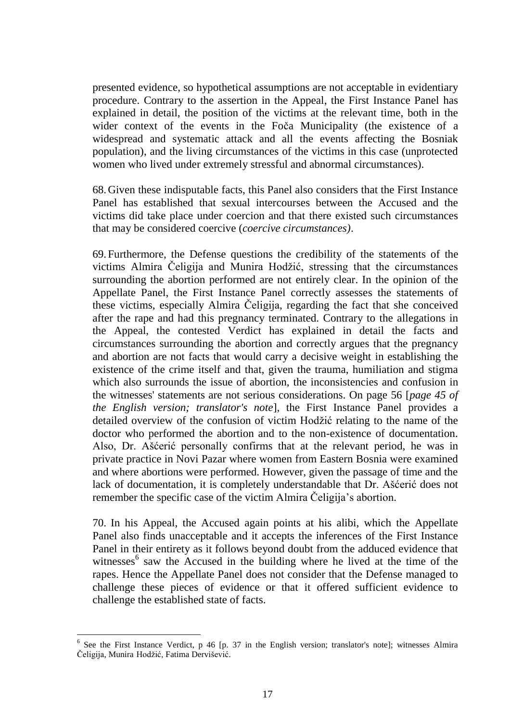presented evidence, so hypothetical assumptions are not acceptable in evidentiary procedure. Contrary to the assertion in the Appeal, the First Instance Panel has explained in detail, the position of the victims at the relevant time, both in the wider context of the events in the Foča Municipality (the existence of a widespread and systematic attack and all the events affecting the Bosniak population), and the living circumstances of the victims in this case (unprotected women who lived under extremely stressful and abnormal circumstances).

68.Given these indisputable facts, this Panel also considers that the First Instance Panel has established that sexual intercourses between the Accused and the victims did take place under coercion and that there existed such circumstances that may be considered coercive (*coercive circumstances)*.

69.Furthermore, the Defense questions the credibility of the statements of the victims Almira Čeligija and Munira Hodžić, stressing that the circumstances surrounding the abortion performed are not entirely clear. In the opinion of the Appellate Panel, the First Instance Panel correctly assesses the statements of these victims, especially Almira Čeligija, regarding the fact that she conceived after the rape and had this pregnancy terminated. Contrary to the allegations in the Appeal, the contested Verdict has explained in detail the facts and circumstances surrounding the abortion and correctly argues that the pregnancy and abortion are not facts that would carry a decisive weight in establishing the existence of the crime itself and that, given the trauma, humiliation and stigma which also surrounds the issue of abortion, the inconsistencies and confusion in the witnesses' statements are not serious considerations. On page 56 [*page 45 of the English version; translator's note*], the First Instance Panel provides a detailed overview of the confusion of victim Hodžić relating to the name of the doctor who performed the abortion and to the non-existence of documentation. Also, Dr. Ašćerić personally confirms that at the relevant period, he was in private practice in Novi Pazar where women from Eastern Bosnia were examined and where abortions were performed. However, given the passage of time and the lack of documentation, it is completely understandable that Dr. Ašćerić does not remember the specific case of the victim Almira Čeligija's abortion.

70. In his Appeal, the Accused again points at his alibi, which the Appellate Panel also finds unacceptable and it accepts the inferences of the First Instance Panel in their entirety as it follows beyond doubt from the adduced evidence that witnesses<sup>6</sup> saw the Accused in the building where he lived at the time of the rapes. Hence the Appellate Panel does not consider that the Defense managed to challenge these pieces of evidence or that it offered sufficient evidence to challenge the established state of facts.

<sup>&</sup>lt;sup>6</sup> See the First Instance Verdict, p 46 [p. 37 in the English version; translator's note]; witnesses Almira Čeligija, Munira Hodžić, Fatima Dervišević.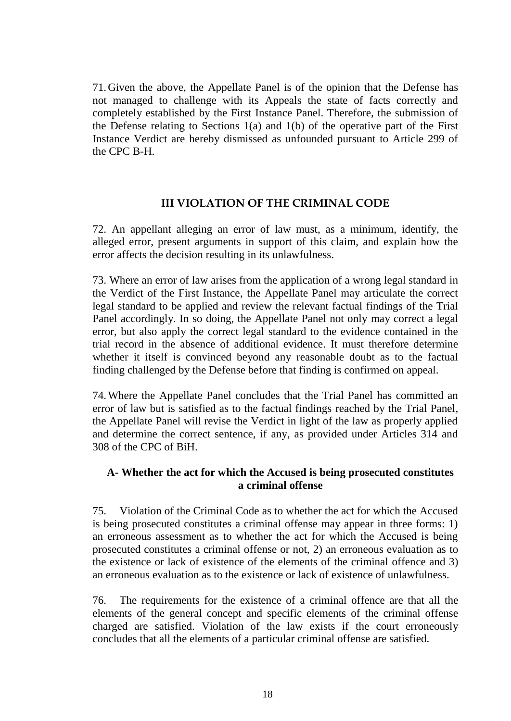71.Given the above, the Appellate Panel is of the opinion that the Defense has not managed to challenge with its Appeals the state of facts correctly and completely established by the First Instance Panel. Therefore, the submission of the Defense relating to Sections 1(a) and 1(b) of the operative part of the First Instance Verdict are hereby dismissed as unfounded pursuant to Article 299 of the CPC B-H.

#### **III VIOLATION OF THE CRIMINAL CODE**

72. An appellant alleging an error of law must, as a minimum, identify, the alleged error, present arguments in support of this claim, and explain how the error affects the decision resulting in its unlawfulness.

73. Where an error of law arises from the application of a wrong legal standard in the Verdict of the First Instance, the Appellate Panel may articulate the correct legal standard to be applied and review the relevant factual findings of the Trial Panel accordingly. In so doing, the Appellate Panel not only may correct a legal error, but also apply the correct legal standard to the evidence contained in the trial record in the absence of additional evidence. It must therefore determine whether it itself is convinced beyond any reasonable doubt as to the factual finding challenged by the Defense before that finding is confirmed on appeal.

74.Where the Appellate Panel concludes that the Trial Panel has committed an error of law but is satisfied as to the factual findings reached by the Trial Panel, the Appellate Panel will revise the Verdict in light of the law as properly applied and determine the correct sentence, if any, as provided under Articles 314 and 308 of the CPC of BiH.

# **A- Whether the act for which the Accused is being prosecuted constitutes a criminal offense**

75. Violation of the Criminal Code as to whether the act for which the Accused is being prosecuted constitutes a criminal offense may appear in three forms: 1) an erroneous assessment as to whether the act for which the Accused is being prosecuted constitutes a criminal offense or not, 2) an erroneous evaluation as to the existence or lack of existence of the elements of the criminal offence and 3) an erroneous evaluation as to the existence or lack of existence of unlawfulness.

76. The requirements for the existence of a criminal offence are that all the elements of the general concept and specific elements of the criminal offense charged are satisfied. Violation of the law exists if the court erroneously concludes that all the elements of a particular criminal offense are satisfied.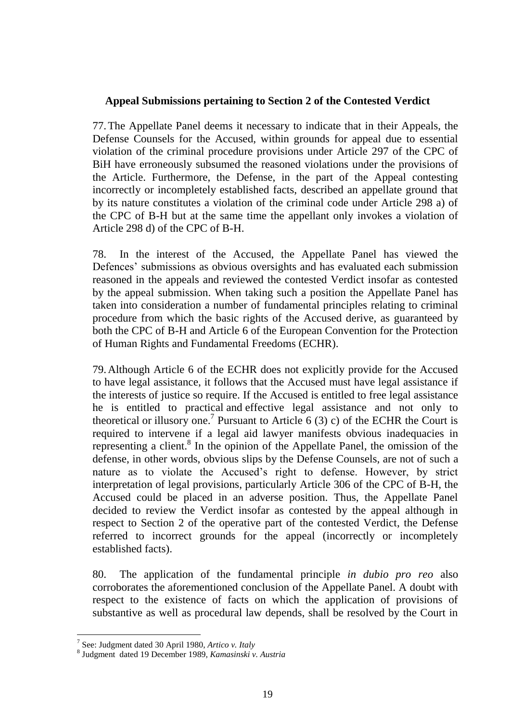#### **Appeal Submissions pertaining to Section 2 of the Contested Verdict**

77.The Appellate Panel deems it necessary to indicate that in their Appeals, the Defense Counsels for the Accused, within grounds for appeal due to essential violation of the criminal procedure provisions under Article 297 of the CPC of BiH have erroneously subsumed the reasoned violations under the provisions of the Article. Furthermore, the Defense, in the part of the Appeal contesting incorrectly or incompletely established facts, described an appellate ground that by its nature constitutes a violation of the criminal code under Article 298 a) of the CPC of B-H but at the same time the appellant only invokes a violation of Article 298 d) of the CPC of B-H.

78. In the interest of the Accused, the Appellate Panel has viewed the Defences' submissions as obvious oversights and has evaluated each submission reasoned in the appeals and reviewed the contested Verdict insofar as contested by the appeal submission. When taking such a position the Appellate Panel has taken into consideration a number of fundamental principles relating to criminal procedure from which the basic rights of the Accused derive, as guaranteed by both the CPC of B-H and Article 6 of the European Convention for the Protection of Human Rights and Fundamental Freedoms (ECHR).

79.Although Article 6 of the ECHR does not explicitly provide for the Accused to have legal assistance, it follows that the Accused must have legal assistance if the interests of justice so require. If the Accused is entitled to free legal assistance he is entitled to practical and effective legal assistance and not only to theoretical or illusory one.<sup>7</sup> Pursuant to Article 6 (3) c) of the ECHR the Court is required to intervene if a legal aid lawyer manifests obvious inadequacies in representing a client.<sup>8</sup> In the opinion of the Appellate Panel, the omission of the defense, in other words, obvious slips by the Defense Counsels, are not of such a nature as to violate the Accused's right to defense. However, by strict interpretation of legal provisions, particularly Article 306 of the CPC of B-H, the Accused could be placed in an adverse position. Thus, the Appellate Panel decided to review the Verdict insofar as contested by the appeal although in respect to Section 2 of the operative part of the contested Verdict, the Defense referred to incorrect grounds for the appeal (incorrectly or incompletely established facts).

80. The application of the fundamental principle *in dubio pro reo* also corroborates the aforementioned conclusion of the Appellate Panel. A doubt with respect to the existence of facts on which the application of provisions of substantive as well as procedural law depends, shall be resolved by the Court in

<sup>7</sup> See: Judgment dated 30 April 1980, *Artico v. Italy*

<sup>8</sup> Judgment dated 19 December 1989, *Kamasinski v. Austria*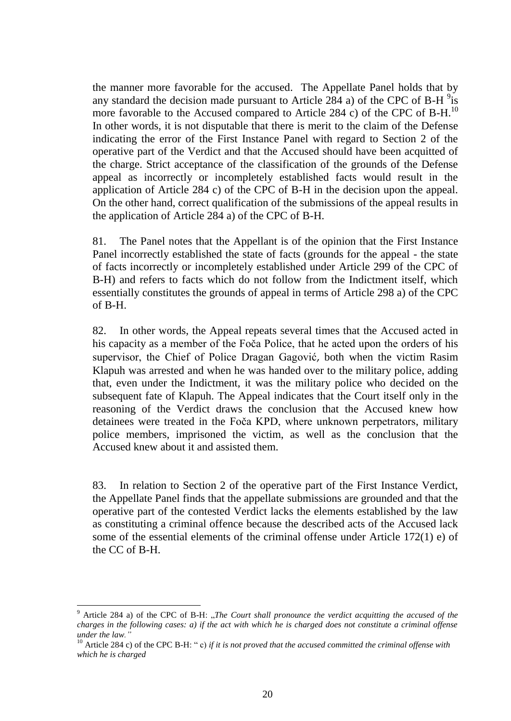the manner more favorable for the accused.The Appellate Panel holds that by any standard the decision made pursuant to Article 284 a) of the CPC of B-H  $\frac{9}{18}$ more favorable to the Accused compared to Article 284 c) of the CPC of B-H.<sup>10</sup> In other words, it is not disputable that there is merit to the claim of the Defense indicating the error of the First Instance Panel with regard to Section 2 of the operative part of the Verdict and that the Accused should have been acquitted of the charge. Strict acceptance of the classification of the grounds of the Defense appeal as incorrectly or incompletely established facts would result in the application of Article 284 c) of the CPC of B-H in the decision upon the appeal. On the other hand, correct qualification of the submissions of the appeal results in the application of Article 284 a) of the CPC of B-H.

81. The Panel notes that the Appellant is of the opinion that the First Instance Panel incorrectly established the state of facts (grounds for the appeal - the state of facts incorrectly or incompletely established under Article 299 of the CPC of B-H) and refers to facts which do not follow from the Indictment itself, which essentially constitutes the grounds of appeal in terms of Article 298 a) of the CPC of B-H.

82. In other words, the Appeal repeats several times that the Accused acted in his capacity as a member of the Foča Police, that he acted upon the orders of his supervisor, the Chief of Police Dragan Gagović, both when the victim Rasim Klapuh was arrested and when he was handed over to the military police, adding that, even under the Indictment, it was the military police who decided on the subsequent fate of Klapuh. The Appeal indicates that the Court itself only in the reasoning of the Verdict draws the conclusion that the Accused knew how detainees were treated in the Foča KPD, where unknown perpetrators, military police members, imprisoned the victim, as well as the conclusion that the Accused knew about it and assisted them.

83. In relation to Section 2 of the operative part of the First Instance Verdict, the Appellate Panel finds that the appellate submissions are grounded and that the operative part of the contested Verdict lacks the elements established by the law as constituting a criminal offence because the described acts of the Accused lack some of the essential elements of the criminal offense under Article 172(1) e) of the CC of B-H.

<sup>9</sup> Article 284 a) of the CPC of B-H: "*The Court shall pronounce the verdict acquitting the accused of the charges in the following cases: a) if the act with which he is charged does not constitute a criminal offense under the law.* 

<sup>10</sup> Article 284 c) of the CPC B-H: " c) *if it is not proved that the accused committed the criminal offense with which he is charged*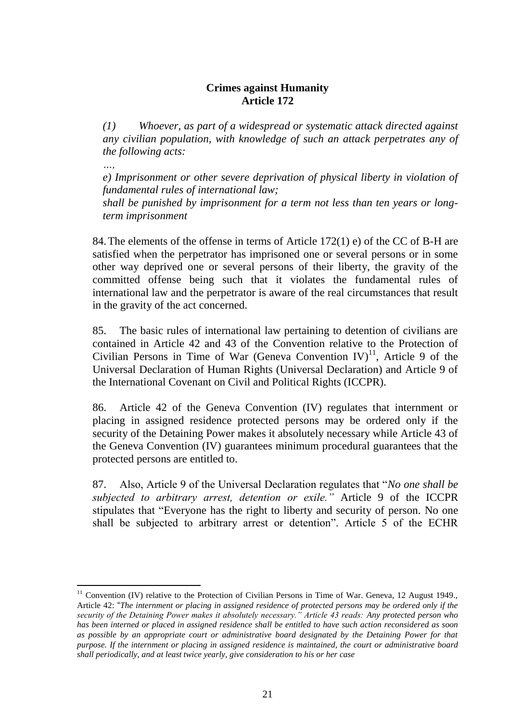# **Crimes against Humanity Article 172**

*(1) Whoever, as part of a widespread or systematic attack directed against any civilian population, with knowledge of such an attack perpetrates any of the following acts:* 

*…,*

 $\overline{a}$ 

*e) Imprisonment or other severe deprivation of physical liberty in violation of fundamental rules of international law;*

*shall be punished by imprisonment for a term not less than ten years or longterm imprisonment*

84.The elements of the offense in terms of Article 172(1) e) of the CC of B-H are satisfied when the perpetrator has imprisoned one or several persons or in some other way deprived one or several persons of their liberty, the gravity of the committed offense being such that it violates the fundamental rules of international law and the perpetrator is aware of the real circumstances that result in the gravity of the act concerned.

85. The basic rules of international law pertaining to detention of civilians are contained in Article 42 and 43 of the Convention relative to the Protection of Civilian Persons in Time of War (Geneva Convention IV)<sup>11</sup>, Article 9 of the Universal Declaration of Human Rights (Universal Declaration) and Article 9 of the International Covenant on Civil and Political Rights (ICCPR).

86. Article 42 of the Geneva Convention (IV) regulates that internment or placing in assigned residence protected persons may be ordered only if the security of the Detaining Power makes it absolutely necessary while Article 43 of the Geneva Convention (IV) guarantees minimum procedural guarantees that the protected persons are entitled to.

87. Also, Article 9 of the Universal Declaration regulates that "*No one shall be subjected to arbitrary arrest, detention or exile."* Article 9 of the ICCPR stipulates that "Everyone has the right to liberty and security of person. No one shall be subjected to arbitrary arrest or detention". Article 5 of the ECHR

 $11$  Convention (IV) relative to the Protection of Civilian Persons in Time of War. Geneva, 12 August 1949., Article 42: "*The internment or placing in assigned residence of protected persons may be ordered only if the security of the Detaining Power makes it absolutely necessary." Article 43 reads: Any protected person who has been interned or placed in assigned residence shall be entitled to have such action reconsidered as soon as possible by an appropriate court or administrative board designated by the Detaining Power for that purpose. If the internment or placing in assigned residence is maintained, the court or administrative board shall periodically, and at least twice yearly, give consideration to his or her case*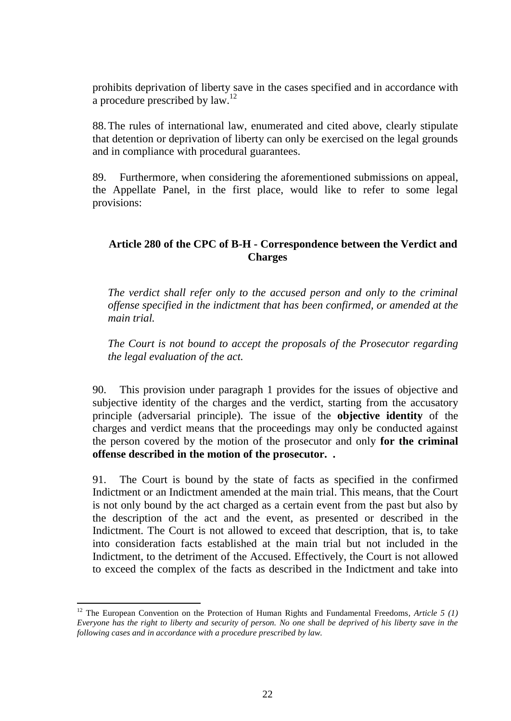prohibits deprivation of liberty save in the cases specified and in accordance with a procedure prescribed by  $law$ <sup>12</sup>

88.The rules of international law, enumerated and cited above, clearly stipulate that detention or deprivation of liberty can only be exercised on the legal grounds and in compliance with procedural guarantees.

89. Furthermore*,* when considering the aforementioned submissions on appeal, the Appellate Panel, in the first place, would like to refer to some legal provisions:

# **Article 280 of the CPC of B-H - Correspondence between the Verdict and Charges**

*The verdict shall refer only to the accused person and only to the criminal offense specified in the indictment that has been confirmed, or amended at the main trial.*

*The Court is not bound to accept the proposals of the Prosecutor regarding the legal evaluation of the act.*

90. This provision under paragraph 1 provides for the issues of objective and subjective identity of the charges and the verdict, starting from the accusatory principle (adversarial principle). The issue of the **objective identity** of the charges and verdict means that the proceedings may only be conducted against the person covered by the motion of the prosecutor and only **for the criminal offense described in the motion of the prosecutor. .** 

91. The Court is bound by the state of facts as specified in the confirmed Indictment or an Indictment amended at the main trial. This means, that the Court is not only bound by the act charged as a certain event from the past but also by the description of the act and the event, as presented or described in the Indictment. The Court is not allowed to exceed that description, that is, to take into consideration facts established at the main trial but not included in the Indictment, to the detriment of the Accused. Effectively, the Court is not allowed to exceed the complex of the facts as described in the Indictment and take into

 $\overline{a}$ <sup>12</sup> The European Convention on the Protection of Human Rights and Fundamental Freedoms, Article 5 (1) *Everyone has the right to liberty and security of person. No one shall be deprived of his liberty save in the following cases and in accordance with a procedure prescribed by law.*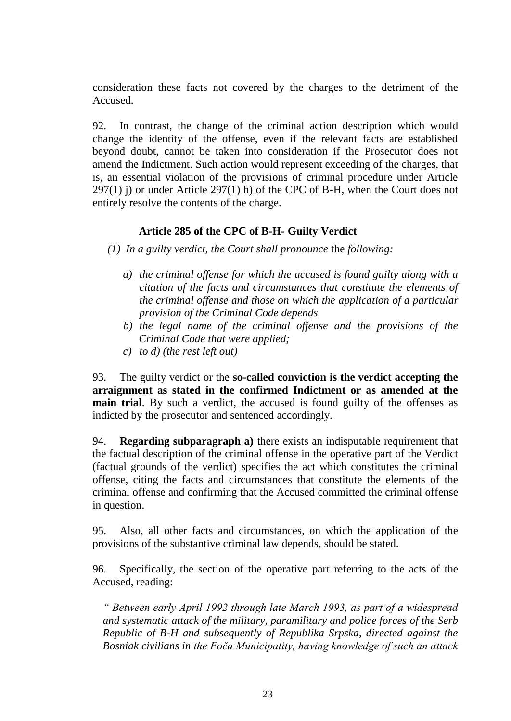consideration these facts not covered by the charges to the detriment of the Accused.

92. In contrast, the change of the criminal action description which would change the identity of the offense, even if the relevant facts are established beyond doubt, cannot be taken into consideration if the Prosecutor does not amend the Indictment. Such action would represent exceeding of the charges, that is, an essential violation of the provisions of criminal procedure under Article  $297(1)$  j) or under Article  $297(1)$  h) of the CPC of B-H, when the Court does not entirely resolve the contents of the charge.

# **Article 285 of the CPC of B-H- Guilty Verdict**

*(1) In a guilty verdict, the Court shall pronounce* the *following:*

- *a) the criminal offense for which the accused is found guilty along with a citation of the facts and circumstances that constitute the elements of the criminal offense and those on which the application of a particular provision of the Criminal Code depends*
- *b) the legal name of the criminal offense and the provisions of the Criminal Code that were applied;*
- *c) to d) (the rest left out)*

93. The guilty verdict or the **so-called conviction is the verdict accepting the arraignment as stated in the confirmed Indictment or as amended at the main trial**. By such a verdict, the accused is found guilty of the offenses as indicted by the prosecutor and sentenced accordingly.

94. **Regarding subparagraph a)** there exists an indisputable requirement that the factual description of the criminal offense in the operative part of the Verdict (factual grounds of the verdict) specifies the act which constitutes the criminal offense, citing the facts and circumstances that constitute the elements of the criminal offense and confirming that the Accused committed the criminal offense in question.

95. Also, all other facts and circumstances, on which the application of the provisions of the substantive criminal law depends, should be stated.

96. Specifically, the section of the operative part referring to the acts of the Accused, reading:

*" Between early April 1992 through late March 1993, as part of a widespread and systematic attack of the military, paramilitary and police forces of the Serb Republic of B-H and subsequently of Republika Srpska, directed against the Bosniak civilians in the Foča Municipality, having knowledge of such an attack*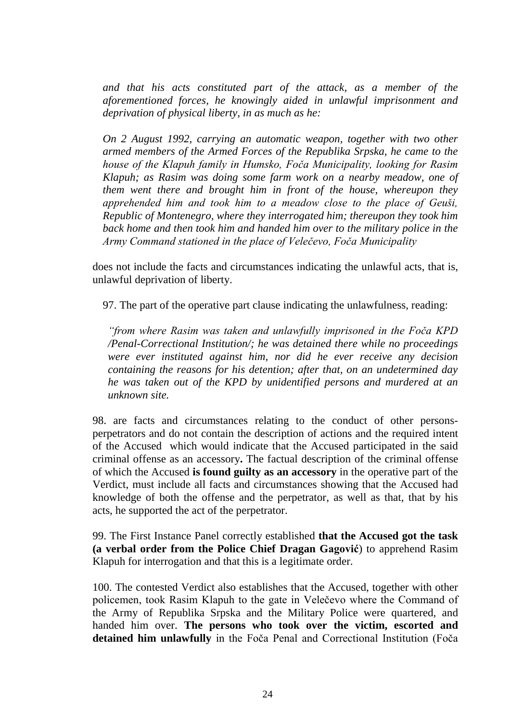*and that his acts constituted part of the attack, as a member of the aforementioned forces, he knowingly aided in unlawful imprisonment and deprivation of physical liberty, in as much as he:*

*On 2 August 1992, carrying an automatic weapon, together with two other armed members of the Armed Forces of the Republika Srpska, he came to the house of the Klapuh family in Humsko, Foča Municipality, looking for Rasim Klapuh; as Rasim was doing some farm work on a nearby meadow, one of them went there and brought him in front of the house, whereupon they apprehended him and took him to a meadow close to the place of Geuši, Republic of Montenegro, where they interrogated him; thereupon they took him back home and then took him and handed him over to the military police in the Army Command stationed in the place of Velečevo, Foča Municipality*

does not include the facts and circumstances indicating the unlawful acts, that is, unlawful deprivation of liberty.

97. The part of the operative part clause indicating the unlawfulness, reading:

*"from where Rasim was taken and unlawfully imprisoned in the Foča KPD /Penal-Correctional Institution/; he was detained there while no proceedings were ever instituted against him, nor did he ever receive any decision containing the reasons for his detention; after that, on an undetermined day he was taken out of the KPD by unidentified persons and murdered at an unknown site.*

98. are facts and circumstances relating to the conduct of other personsperpetrators and do not contain the description of actions and the required intent of the Accused which would indicate that the Accused participated in the said criminal offense as an accessory**.** The factual description of the criminal offense of which the Accused **is found guilty as an accessory** in the operative part of the Verdict, must include all facts and circumstances showing that the Accused had knowledge of both the offense and the perpetrator, as well as that, that by his acts, he supported the act of the perpetrator.

99. The First Instance Panel correctly established **that the Accused got the task (a verbal order from the Police Chief Dragan Gagović**) to apprehend Rasim Klapuh for interrogation and that this is a legitimate order.

100. The contested Verdict also establishes that the Accused, together with other policemen, took Rasim Klapuh to the gate in Velečevo where the Command of the Army of Republika Srpska and the Military Police were quartered, and handed him over. **The persons who took over the victim, escorted and detained him unlawfully** in the Foča Penal and Correctional Institution (Foča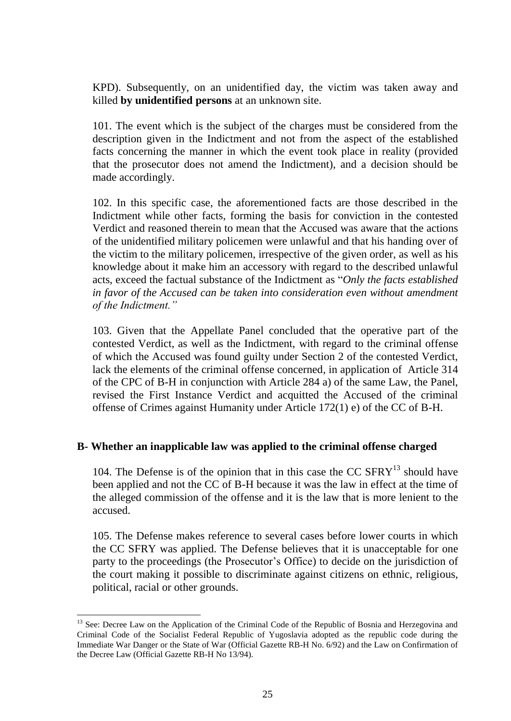KPD). Subsequently, on an unidentified day, the victim was taken away and killed **by unidentified persons** at an unknown site.

101. The event which is the subject of the charges must be considered from the description given in the Indictment and not from the aspect of the established facts concerning the manner in which the event took place in reality (provided that the prosecutor does not amend the Indictment), and a decision should be made accordingly.

102. In this specific case, the aforementioned facts are those described in the Indictment while other facts, forming the basis for conviction in the contested Verdict and reasoned therein to mean that the Accused was aware that the actions of the unidentified military policemen were unlawful and that his handing over of the victim to the military policemen, irrespective of the given order, as well as his knowledge about it make him an accessory with regard to the described unlawful acts, exceed the factual substance of the Indictment as "*Only the facts established in favor of the Accused can be taken into consideration even without amendment of the Indictment."*

103. Given that the Appellate Panel concluded that the operative part of the contested Verdict, as well as the Indictment, with regard to the criminal offense of which the Accused was found guilty under Section 2 of the contested Verdict, lack the elements of the criminal offense concerned, in application of Article 314 of the CPC of B-H in conjunction with Article 284 a) of the same Law, the Panel, revised the First Instance Verdict and acquitted the Accused of the criminal offense of Crimes against Humanity under Article 172(1) e) of the CC of B-H.

#### **B- Whether an inapplicable law was applied to the criminal offense charged**

104. The Defense is of the opinion that in this case the CC  $SFRY<sup>13</sup>$  should have been applied and not the CC of B-H because it was the law in effect at the time of the alleged commission of the offense and it is the law that is more lenient to the accused.

105. The Defense makes reference to several cases before lower courts in which the CC SFRY was applied. The Defense believes that it is unacceptable for one party to the proceedings (the Prosecutor's Office) to decide on the jurisdiction of the court making it possible to discriminate against citizens on ethnic, religious, political, racial or other grounds.

<sup>&</sup>lt;sup>13</sup> See: Decree Law on the Application of the Criminal Code of the Republic of Bosnia and Herzegovina and Criminal Code of the Socialist Federal Republic of Yugoslavia adopted as the republic code during the Immediate War Danger or the State of War (Official Gazette RB-H No. 6/92) and the Law on Confirmation of the Decree Law (Official Gazette RB-H No 13/94).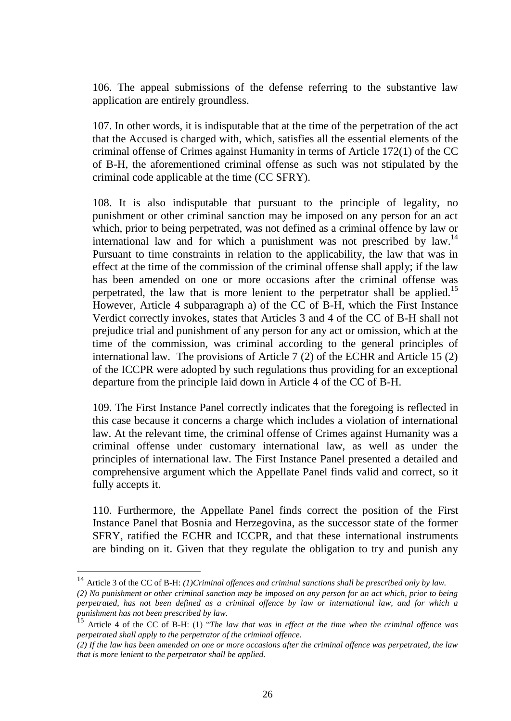106. The appeal submissions of the defense referring to the substantive law application are entirely groundless.

107. In other words, it is indisputable that at the time of the perpetration of the act that the Accused is charged with, which, satisfies all the essential elements of the criminal offense of Crimes against Humanity in terms of Article 172(1) of the CC of B-H, the aforementioned criminal offense as such was not stipulated by the criminal code applicable at the time (CC SFRY).

108. It is also indisputable that pursuant to the principle of legality, no punishment or other criminal sanction may be imposed on any person for an act which, prior to being perpetrated, was not defined as a criminal offence by law or international law and for which a punishment was not prescribed by law.<sup>14</sup> Pursuant to time constraints in relation to the applicability, the law that was in effect at the time of the commission of the criminal offense shall apply; if the law has been amended on one or more occasions after the criminal offense was perpetrated, the law that is more lenient to the perpetrator shall be applied.<sup>15</sup> However, Article 4 subparagraph a) of the CC of B-H, which the First Instance Verdict correctly invokes, states that Articles 3 and 4 of the CC of B-H shall not prejudice trial and punishment of any person for any act or omission, which at the time of the commission, was criminal according to the general principles of international law*.* The provisions of Article 7 (2) of the ECHR and Article 15 (2) of the ICCPR were adopted by such regulations thus providing for an exceptional departure from the principle laid down in Article 4 of the CC of B-H.

109. The First Instance Panel correctly indicates that the foregoing is reflected in this case because it concerns a charge which includes a violation of international law. At the relevant time, the criminal offense of Crimes against Humanity was a criminal offense under customary international law, as well as under the principles of international law. The First Instance Panel presented a detailed and comprehensive argument which the Appellate Panel finds valid and correct, so it fully accepts it.

110. Furthermore, the Appellate Panel finds correct the position of the First Instance Panel that Bosnia and Herzegovina, as the successor state of the former SFRY, ratified the ECHR and ICCPR, and that these international instruments are binding on it. Given that they regulate the obligation to try and punish any

<sup>14</sup> Article 3 of the CC of B-H: *(1)Criminal offences and criminal sanctions shall be prescribed only by law.* 

*<sup>(2)</sup> No punishment or other criminal sanction may be imposed on any person for an act which, prior to being perpetrated, has not been defined as a criminal offence by law or international law, and for which a punishment has not been prescribed by law.*

<sup>15</sup> Article 4 of the CC of B-H: (1) "*The law that was in effect at the time when the criminal offence was perpetrated shall apply to the perpetrator of the criminal offence.*

*<sup>(2)</sup> If the law has been amended on one or more occasions after the criminal offence was perpetrated, the law that is more lenient to the perpetrator shall be applied.*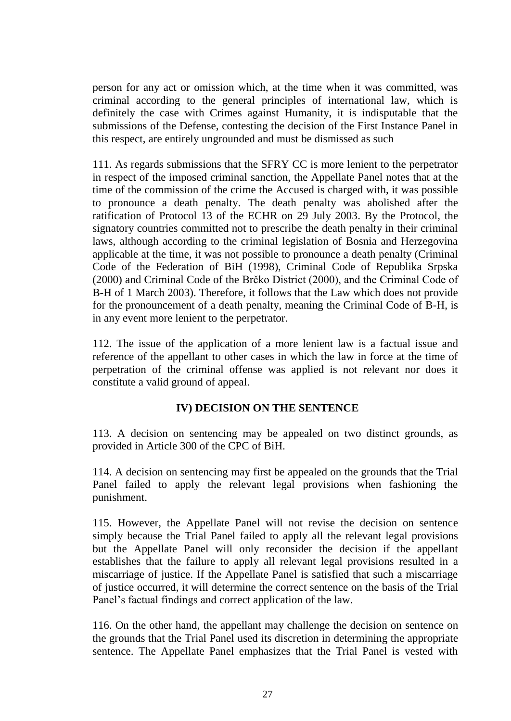person for any act or omission which, at the time when it was committed, was criminal according to the general principles of international law, which is definitely the case with Crimes against Humanity, it is indisputable that the submissions of the Defense, contesting the decision of the First Instance Panel in this respect, are entirely ungrounded and must be dismissed as such

111. As regards submissions that the SFRY CC is more lenient to the perpetrator in respect of the imposed criminal sanction, the Appellate Panel notes that at the time of the commission of the crime the Accused is charged with, it was possible to pronounce a death penalty. The death penalty was abolished after the ratification of Protocol 13 of the ECHR on 29 July 2003. By the Protocol, the signatory countries committed not to prescribe the death penalty in their criminal laws, although according to the criminal legislation of Bosnia and Herzegovina applicable at the time, it was not possible to pronounce a death penalty (Criminal Code of the Federation of BiH (1998), Criminal Code of Republika Srpska (2000) and Criminal Code of the Brčko District (2000), and the Criminal Code of B-H of 1 March 2003). Therefore, it follows that the Law which does not provide for the pronouncement of a death penalty, meaning the Criminal Code of B-H, is in any event more lenient to the perpetrator.

112. The issue of the application of a more lenient law is a factual issue and reference of the appellant to other cases in which the law in force at the time of perpetration of the criminal offense was applied is not relevant nor does it constitute a valid ground of appeal.

# **IV) DECISION ON THE SENTENCE**

113. A decision on sentencing may be appealed on two distinct grounds, as provided in Article 300 of the CPC of BiH.

114. A decision on sentencing may first be appealed on the grounds that the Trial Panel failed to apply the relevant legal provisions when fashioning the punishment.

115. However, the Appellate Panel will not revise the decision on sentence simply because the Trial Panel failed to apply all the relevant legal provisions but the Appellate Panel will only reconsider the decision if the appellant establishes that the failure to apply all relevant legal provisions resulted in a miscarriage of justice. If the Appellate Panel is satisfied that such a miscarriage of justice occurred, it will determine the correct sentence on the basis of the Trial Panel's factual findings and correct application of the law.

116. On the other hand, the appellant may challenge the decision on sentence on the grounds that the Trial Panel used its discretion in determining the appropriate sentence. The Appellate Panel emphasizes that the Trial Panel is vested with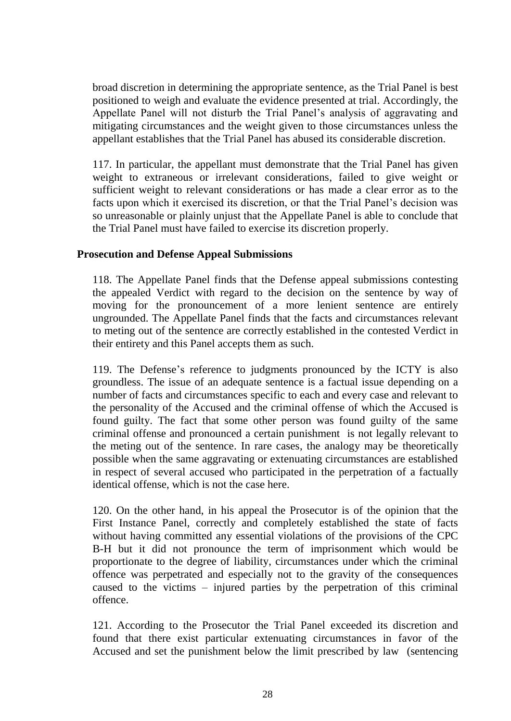broad discretion in determining the appropriate sentence, as the Trial Panel is best positioned to weigh and evaluate the evidence presented at trial. Accordingly, the Appellate Panel will not disturb the Trial Panel's analysis of aggravating and mitigating circumstances and the weight given to those circumstances unless the appellant establishes that the Trial Panel has abused its considerable discretion.

117. In particular, the appellant must demonstrate that the Trial Panel has given weight to extraneous or irrelevant considerations, failed to give weight or sufficient weight to relevant considerations or has made a clear error as to the facts upon which it exercised its discretion, or that the Trial Panel's decision was so unreasonable or plainly unjust that the Appellate Panel is able to conclude that the Trial Panel must have failed to exercise its discretion properly.

#### **Prosecution and Defense Appeal Submissions**

118. The Appellate Panel finds that the Defense appeal submissions contesting the appealed Verdict with regard to the decision on the sentence by way of moving for the pronouncement of a more lenient sentence are entirely ungrounded. The Appellate Panel finds that the facts and circumstances relevant to meting out of the sentence are correctly established in the contested Verdict in their entirety and this Panel accepts them as such.

119. The Defense's reference to judgments pronounced by the ICTY is also groundless. The issue of an adequate sentence is a factual issue depending on a number of facts and circumstances specific to each and every case and relevant to the personality of the Accused and the criminal offense of which the Accused is found guilty. The fact that some other person was found guilty of the same criminal offense and pronounced a certain punishment is not legally relevant to the meting out of the sentence. In rare cases, the analogy may be theoretically possible when the same aggravating or extenuating circumstances are established in respect of several accused who participated in the perpetration of a factually identical offense, which is not the case here.

120. On the other hand, in his appeal the Prosecutor is of the opinion that the First Instance Panel, correctly and completely established the state of facts without having committed any essential violations of the provisions of the CPC B-H but it did not pronounce the term of imprisonment which would be proportionate to the degree of liability, circumstances under which the criminal offence was perpetrated and especially not to the gravity of the consequences caused to the victims – injured parties by the perpetration of this criminal offence.

121. According to the Prosecutor the Trial Panel exceeded its discretion and found that there exist particular extenuating circumstances in favor of the Accused and set the punishment below the limit prescribed by law (sentencing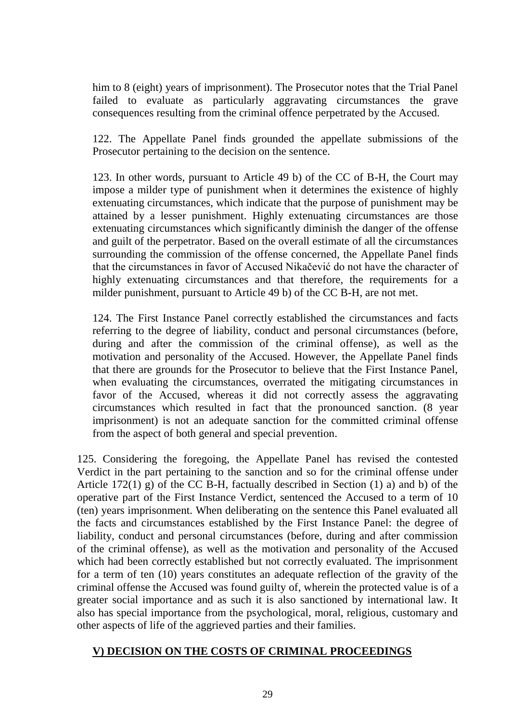him to 8 (eight) years of imprisonment). The Prosecutor notes that the Trial Panel failed to evaluate as particularly aggravating circumstances the grave consequences resulting from the criminal offence perpetrated by the Accused.

122. The Appellate Panel finds grounded the appellate submissions of the Prosecutor pertaining to the decision on the sentence.

123. In other words, pursuant to Article 49 b) of the CC of B-H, the Court may impose a milder type of punishment when it determines the existence of highly extenuating circumstances, which indicate that the purpose of punishment may be attained by a lesser punishment. Highly extenuating circumstances are those extenuating circumstances which significantly diminish the danger of the offense and guilt of the perpetrator. Based on the overall estimate of all the circumstances surrounding the commission of the offense concerned, the Appellate Panel finds that the circumstances in favor of Accused Nikačević do not have the character of highly extenuating circumstances and that therefore, the requirements for a milder punishment, pursuant to Article 49 b) of the CC B-H, are not met.

124. The First Instance Panel correctly established the circumstances and facts referring to the degree of liability, conduct and personal circumstances (before, during and after the commission of the criminal offense), as well as the motivation and personality of the Accused. However, the Appellate Panel finds that there are grounds for the Prosecutor to believe that the First Instance Panel, when evaluating the circumstances, overrated the mitigating circumstances in favor of the Accused, whereas it did not correctly assess the aggravating circumstances which resulted in fact that the pronounced sanction. (8 year imprisonment) is not an adequate sanction for the committed criminal offense from the aspect of both general and special prevention.

125. Considering the foregoing, the Appellate Panel has revised the contested Verdict in the part pertaining to the sanction and so for the criminal offense under Article 172(1) g) of the CC B-H, factually described in Section (1) a) and b) of the operative part of the First Instance Verdict, sentenced the Accused to a term of 10 (ten) years imprisonment. When deliberating on the sentence this Panel evaluated all the facts and circumstances established by the First Instance Panel: the degree of liability, conduct and personal circumstances (before, during and after commission of the criminal offense), as well as the motivation and personality of the Accused which had been correctly established but not correctly evaluated. The imprisonment for a term of ten (10) years constitutes an adequate reflection of the gravity of the criminal offense the Accused was found guilty of, wherein the protected value is of a greater social importance and as such it is also sanctioned by international law. It also has special importance from the psychological, moral, religious, customary and other aspects of life of the aggrieved parties and their families.

# **V) DECISION ON THE COSTS OF CRIMINAL PROCEEDINGS**